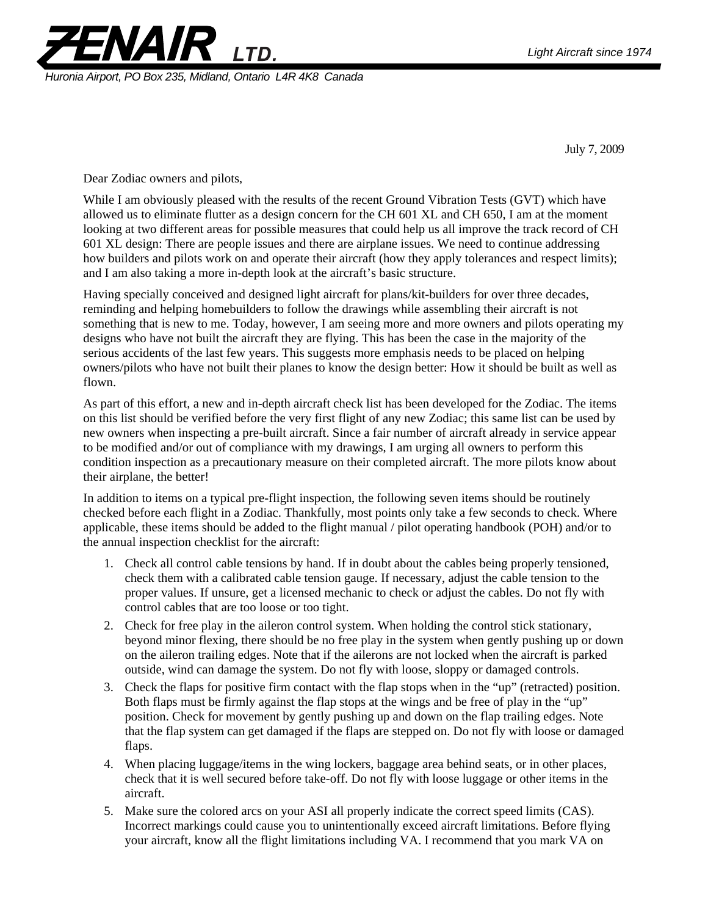

 *Huronia Airport, PO Box 235, Midland, Ontario L4R 4K8 Canada* 

July 7, 2009

Dear Zodiac owners and pilots,

While I am obviously pleased with the results of the recent Ground Vibration Tests (GVT) which have allowed us to eliminate flutter as a design concern for the CH 601 XL and CH 650, I am at the moment looking at two different areas for possible measures that could help us all improve the track record of CH 601 XL design: There are people issues and there are airplane issues. We need to continue addressing how builders and pilots work on and operate their aircraft (how they apply tolerances and respect limits); and I am also taking a more in-depth look at the aircraft's basic structure.

Having specially conceived and designed light aircraft for plans/kit-builders for over three decades, reminding and helping homebuilders to follow the drawings while assembling their aircraft is not something that is new to me. Today, however, I am seeing more and more owners and pilots operating my designs who have not built the aircraft they are flying. This has been the case in the majority of the serious accidents of the last few years. This suggests more emphasis needs to be placed on helping owners/pilots who have not built their planes to know the design better: How it should be built as well as flown.

As part of this effort, a new and in-depth aircraft check list has been developed for the Zodiac. The items on this list should be verified before the very first flight of any new Zodiac; this same list can be used by new owners when inspecting a pre-built aircraft. Since a fair number of aircraft already in service appear to be modified and/or out of compliance with my drawings, I am urging all owners to perform this condition inspection as a precautionary measure on their completed aircraft. The more pilots know about their airplane, the better!

In addition to items on a typical pre-flight inspection, the following seven items should be routinely checked before each flight in a Zodiac. Thankfully, most points only take a few seconds to check. Where applicable, these items should be added to the flight manual / pilot operating handbook (POH) and/or to the annual inspection checklist for the aircraft:

- 1. Check all control cable tensions by hand. If in doubt about the cables being properly tensioned, check them with a calibrated cable tension gauge. If necessary, adjust the cable tension to the proper values. If unsure, get a licensed mechanic to check or adjust the cables. Do not fly with control cables that are too loose or too tight.
- 2. Check for free play in the aileron control system. When holding the control stick stationary, beyond minor flexing, there should be no free play in the system when gently pushing up or down on the aileron trailing edges. Note that if the ailerons are not locked when the aircraft is parked outside, wind can damage the system. Do not fly with loose, sloppy or damaged controls.
- 3. Check the flaps for positive firm contact with the flap stops when in the "up" (retracted) position. Both flaps must be firmly against the flap stops at the wings and be free of play in the "up" position. Check for movement by gently pushing up and down on the flap trailing edges. Note that the flap system can get damaged if the flaps are stepped on. Do not fly with loose or damaged flaps.
- 4. When placing luggage/items in the wing lockers, baggage area behind seats, or in other places, check that it is well secured before take-off. Do not fly with loose luggage or other items in the aircraft.
- 5. Make sure the colored arcs on your ASI all properly indicate the correct speed limits (CAS). Incorrect markings could cause you to unintentionally exceed aircraft limitations. Before flying your aircraft, know all the flight limitations including VA. I recommend that you mark VA on